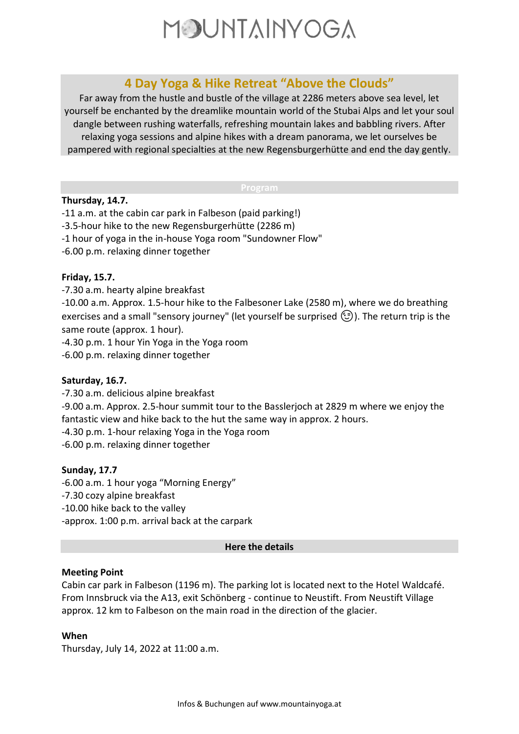

# **4 Day Yoga & Hike Retreat "Above the Clouds"**

Far away from the hustle and bustle of the village at 2286 meters above sea level, let yourself be enchanted by the dreamlike mountain world of the Stubai Alps and let your soul dangle between rushing waterfalls, refreshing mountain lakes and babbling rivers. After relaxing yoga sessions and alpine hikes with a dream panorama, we let ourselves be pampered with regional specialties at the new Regensburgerhütte and end the day gently.

#### **Program**

#### **Thursday, 14.7.**

- -11 a.m. at the cabin car park in Falbeson (paid parking!)
- -3.5-hour hike to the new Regensburgerhütte (2286 m)
- -1 hour of yoga in the in-house Yoga room "Sundowner Flow"
- -6.00 p.m. relaxing dinner together

# **Friday, 15.7.**

-7.30 a.m. hearty alpine breakfast

-10.00 a.m. Approx. 1.5-hour hike to the Falbesoner Lake (2580 m), where we do breathing exercises and a small "sensory journey" (let yourself be surprised  $\textcircled{(3)}$ ). The return trip is the same route (approx. 1 hour).

-4.30 p.m. 1 hour Yin Yoga in the Yoga room

-6.00 p.m. relaxing dinner together

# **Saturday, 16.7.**

-7.30 a.m. delicious alpine breakfast

-9.00 a.m. Approx. 2.5-hour summit tour to the Basslerjoch at 2829 m where we enjoy the fantastic view and hike back to the hut the same way in approx. 2 hours.

-4.30 p.m. 1-hour relaxing Yoga in the Yoga room

-6.00 p.m. relaxing dinner together

# **Sunday, 17.7**

-6.00 a.m. 1 hour yoga "Morning Energy" -7.30 cozy alpine breakfast -10.00 hike back to the valley -approx. 1:00 p.m. arrival back at the carpark

#### **Here the details**

# **Meeting Point**

Cabin car park in Falbeson (1196 m). The parking lot is located next to the Hotel Waldcafé. From Innsbruck via the A13, exit Schönberg - continue to Neustift. From Neustift Village approx. 12 km to Falbeson on the main road in the direction of the glacier.

# **When**

Thursday, July 14, 2022 at 11:00 a.m.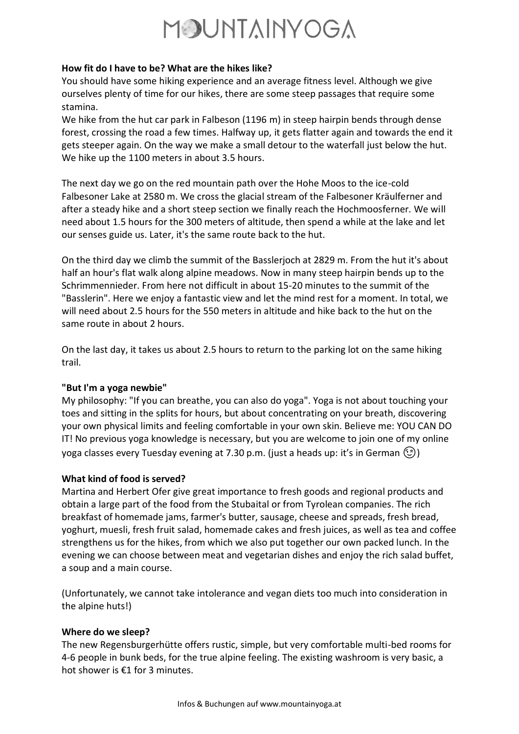# MOUNTAINYOGA

# **How fit do I have to be? What are the hikes like?**

You should have some hiking experience and an average fitness level. Although we give ourselves plenty of time for our hikes, there are some steep passages that require some stamina.

We hike from the hut car park in Falbeson (1196 m) in steep hairpin bends through dense forest, crossing the road a few times. Halfway up, it gets flatter again and towards the end it gets steeper again. On the way we make a small detour to the waterfall just below the hut. We hike up the 1100 meters in about 3.5 hours.

The next day we go on the red mountain path over the Hohe Moos to the ice-cold Falbesoner Lake at 2580 m. We cross the glacial stream of the Falbesoner Kräulferner and after a steady hike and a short steep section we finally reach the Hochmoosferner. We will need about 1.5 hours for the 300 meters of altitude, then spend a while at the lake and let our senses guide us. Later, it's the same route back to the hut.

On the third day we climb the summit of the Basslerjoch at 2829 m. From the hut it's about half an hour's flat walk along alpine meadows. Now in many steep hairpin bends up to the Schrimmennieder. From here not difficult in about 15-20 minutes to the summit of the "Basslerin". Here we enjoy a fantastic view and let the mind rest for a moment. In total, we will need about 2.5 hours for the 550 meters in altitude and hike back to the hut on the same route in about 2 hours.

On the last day, it takes us about 2.5 hours to return to the parking lot on the same hiking trail.

# **"But I'm a yoga newbie"**

My philosophy: "If you can breathe, you can also do yoga". Yoga is not about touching your toes and sitting in the splits for hours, but about concentrating on your breath, discovering your own physical limits and feeling comfortable in your own skin. Believe me: YOU CAN DO IT! No previous yoga knowledge is necessary, but you are welcome to join one of my online yoga classes every Tuesday evening at 7.30 p.m. (just a heads up: it's in German  $\textcircled{\tiny{\textcircled{\tiny{2}}}}$ )

# **What kind of food is served?**

Martina and Herbert Ofer give great importance to fresh goods and regional products and obtain a large part of the food from the Stubaital or from Tyrolean companies. The rich breakfast of homemade jams, farmer's butter, sausage, cheese and spreads, fresh bread, yoghurt, muesli, fresh fruit salad, homemade cakes and fresh juices, as well as tea and coffee strengthens us for the hikes, from which we also put together our own packed lunch. In the evening we can choose between meat and vegetarian dishes and enjoy the rich salad buffet, a soup and a main course.

(Unfortunately, we cannot take intolerance and vegan diets too much into consideration in the alpine huts!)

# **Where do we sleep?**

The new Regensburgerhütte offers rustic, simple, but very comfortable multi-bed rooms for 4-6 people in bunk beds, for the true alpine feeling. The existing washroom is very basic, a hot shower is €1 for 3 minutes.